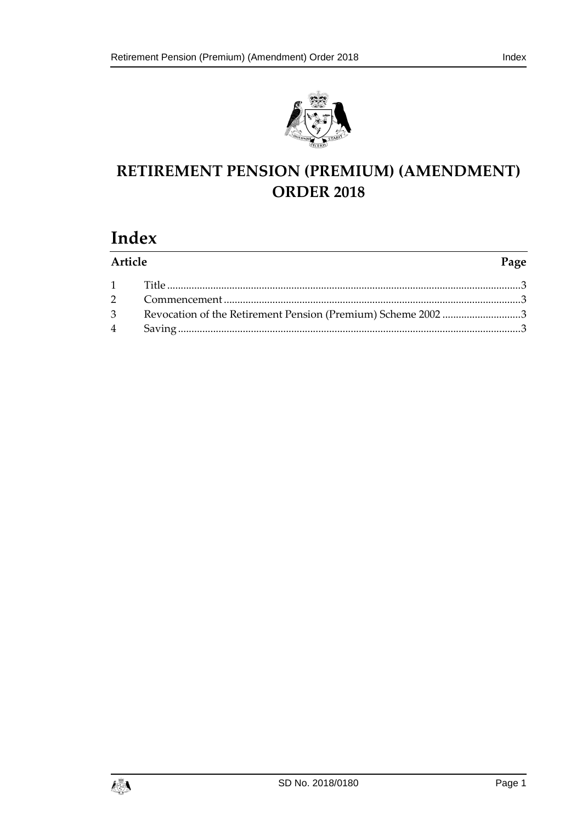

## **RETIREMENT PENSION (PREMIUM) (AMENDMENT) ORDER 2018**

# **Index**

| Article |  | Page |
|---------|--|------|
|         |  |      |
|         |  |      |
|         |  |      |
|         |  |      |

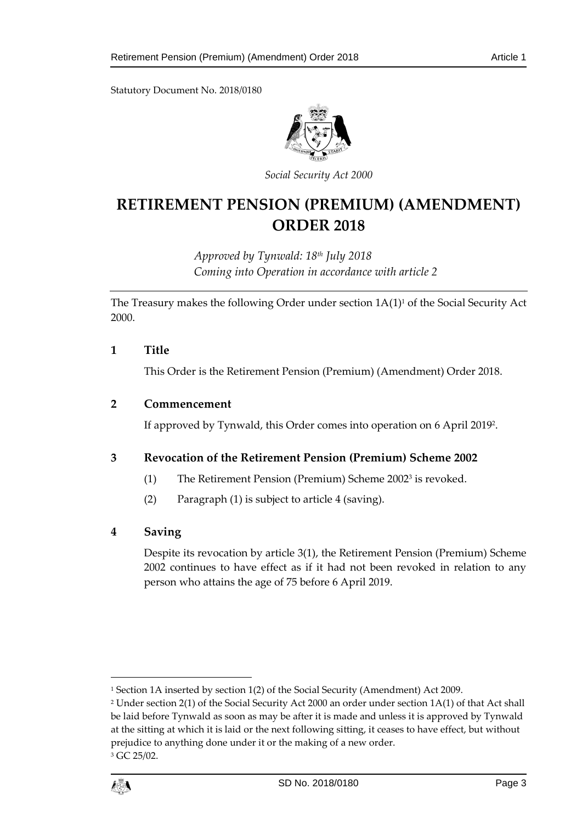Statutory Document No. 2018/0180



*Social Security Act 2000*

### **RETIREMENT PENSION (PREMIUM) (AMENDMENT) ORDER 2018**

*Approved by Tynwald: 18th July 2018 Coming into Operation in accordance with article 2*

The Treasury makes the following Order under section  $1A(1)^1$  of the Social Security Act 2000.

#### <span id="page-2-0"></span>**1 Title**

This Order is the Retirement Pension (Premium) (Amendment) Order 2018.

#### <span id="page-2-1"></span>**2 Commencement**

If approved by Tynwald, this Order comes into operation on 6 April 2019<sup>2</sup> .

#### <span id="page-2-2"></span>**3 Revocation of the Retirement Pension (Premium) Scheme 2002**

- (1) The Retirement Pension (Premium) Scheme 2002<sup>3</sup> is revoked.
- (2) Paragraph (1) is subject to article 4 (saving).

#### <span id="page-2-3"></span>**4 Saving**

Despite its revocation by article 3(1), the Retirement Pension (Premium) Scheme 2002 continues to have effect as if it had not been revoked in relation to any person who attains the age of 75 before 6 April 2019.

<sup>&</sup>lt;sup>3</sup> GC 25/02.



 $\overline{a}$ 

<sup>1</sup> Section 1A inserted by section 1(2) of the Social Security (Amendment) Act 2009.

<sup>2</sup> Under section 2(1) of the Social Security Act 2000 an order under section 1A(1) of that Act shall be laid before Tynwald as soon as may be after it is made and unless it is approved by Tynwald at the sitting at which it is laid or the next following sitting, it ceases to have effect, but without prejudice to anything done under it or the making of a new order.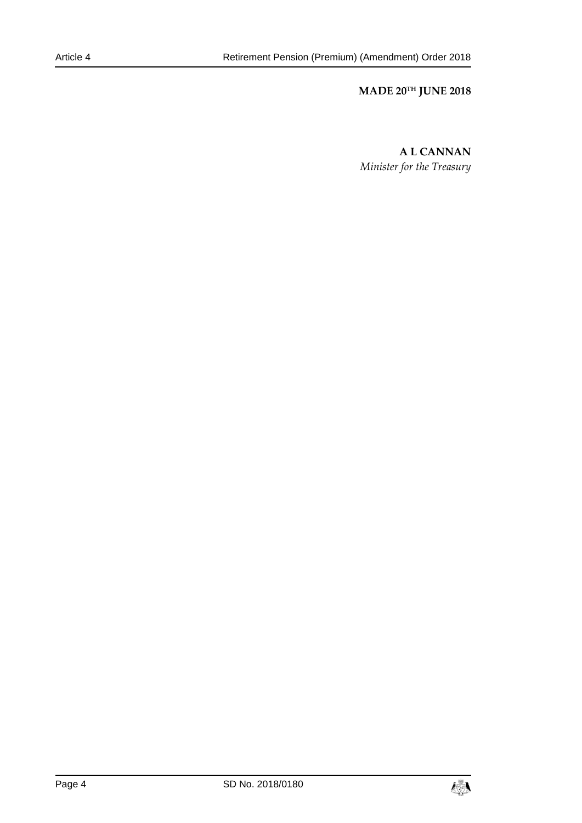#### **MADE 20TH JUNE 2018**

**A L CANNAN** *Minister for the Treasury*